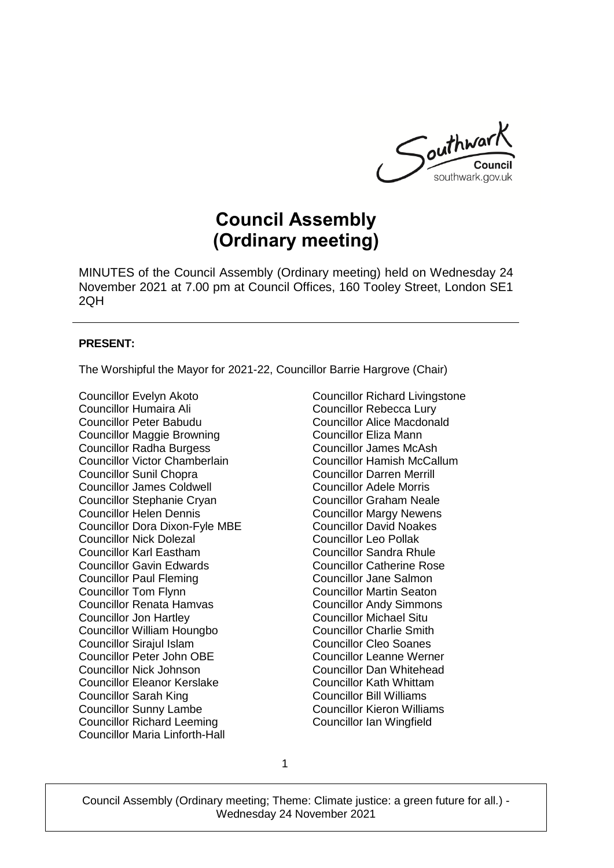

# **Council Assembly (Ordinary meeting)**

MINUTES of the Council Assembly (Ordinary meeting) held on Wednesday 24 November 2021 at 7.00 pm at Council Offices, 160 Tooley Street, London SE1 2QH

#### **PRESENT:**

The Worshipful the Mayor for 2021-22, Councillor Barrie Hargrove (Chair)

Councillor Evelyn Akoto Councillor Humaira Ali Councillor Peter Babudu Councillor Maggie Browning Councillor Radha Burgess Councillor Victor Chamberlain Councillor Sunil Chopra Councillor James Coldwell Councillor Stephanie Cryan Councillor Helen Dennis Councillor Dora Dixon-Fyle MBE Councillor Nick Dolezal Councillor Karl Eastham Councillor Gavin Edwards Councillor Paul Fleming Councillor Tom Flynn Councillor Renata Hamvas Councillor Jon Hartley Councillor William Houngbo Councillor Sirajul Islam Councillor Peter John OBE Councillor Nick Johnson Councillor Eleanor Kerslake Councillor Sarah King Councillor Sunny Lambe Councillor Richard Leeming Councillor Maria Linforth-Hall

Councillor Richard Livingstone Councillor Rebecca Lury Councillor Alice Macdonald Councillor Eliza Mann Councillor James McAsh Councillor Hamish McCallum Councillor Darren Merrill Councillor Adele Morris Councillor Graham Neale Councillor Margy Newens Councillor David Noakes Councillor Leo Pollak Councillor Sandra Rhule Councillor Catherine Rose Councillor Jane Salmon Councillor Martin Seaton Councillor Andy Simmons Councillor Michael Situ Councillor Charlie Smith Councillor Cleo Soanes Councillor Leanne Werner Councillor Dan Whitehead Councillor Kath Whittam Councillor Bill Williams Councillor Kieron Williams Councillor Ian Wingfield

1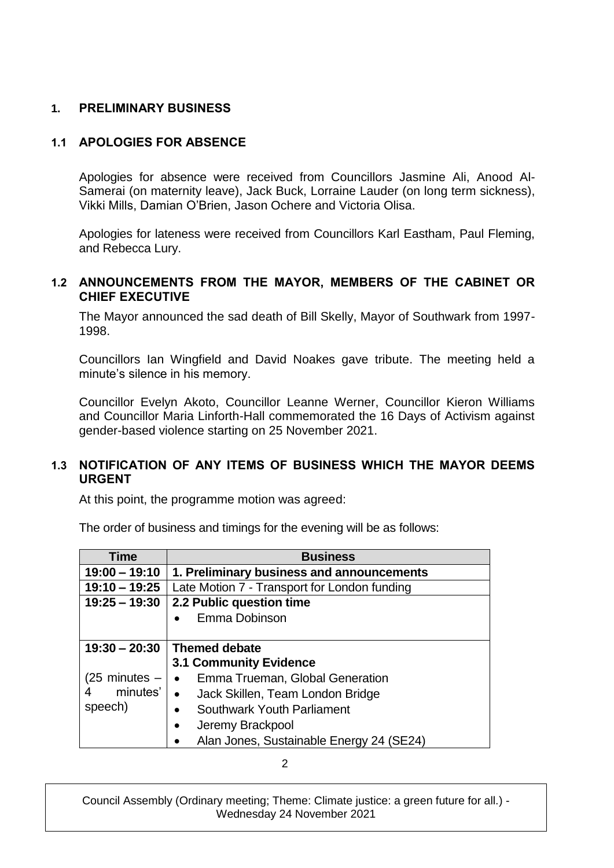## **1. PRELIMINARY BUSINESS**

## **1.1 APOLOGIES FOR ABSENCE**

Apologies for absence were received from Councillors Jasmine Ali, Anood Al-Samerai (on maternity leave), Jack Buck, Lorraine Lauder (on long term sickness), Vikki Mills, Damian O'Brien, Jason Ochere and Victoria Olisa.

Apologies for lateness were received from Councillors Karl Eastham, Paul Fleming, and Rebecca Lury.

#### **1.2 ANNOUNCEMENTS FROM THE MAYOR, MEMBERS OF THE CABINET OR CHIEF EXECUTIVE**

The Mayor announced the sad death of Bill Skelly, Mayor of Southwark from 1997- 1998.

Councillors Ian Wingfield and David Noakes gave tribute. The meeting held a minute's silence in his memory.

Councillor Evelyn Akoto, Councillor Leanne Werner, Councillor Kieron Williams and Councillor Maria Linforth-Hall commemorated the 16 Days of Activism against gender-based violence starting on 25 November 2021.

## **1.3 NOTIFICATION OF ANY ITEMS OF BUSINESS WHICH THE MAYOR DEEMS URGENT**

At this point, the programme motion was agreed:

The order of business and timings for the evening will be as follows:

| Time            | <b>Business</b>                               |
|-----------------|-----------------------------------------------|
| $19:00 - 19:10$ | 1. Preliminary business and announcements     |
| $19:10 - 19:25$ | Late Motion 7 - Transport for London funding  |
| $19:25 - 19:30$ | 2.2 Public question time                      |
|                 | Emma Dobinson                                 |
|                 |                                               |
| $19:30 - 20:30$ | <b>Themed debate</b>                          |
|                 | <b>3.1 Community Evidence</b>                 |
| (25 minutes –   | Emma Trueman, Global Generation<br>$\bullet$  |
| minutes'<br>4   | Jack Skillen, Team London Bridge<br>$\bullet$ |
| speech)         | Southwark Youth Parliament<br>$\bullet$       |
|                 | Jeremy Brackpool<br>$\bullet$                 |
|                 | Alan Jones, Sustainable Energy 24 (SE24)      |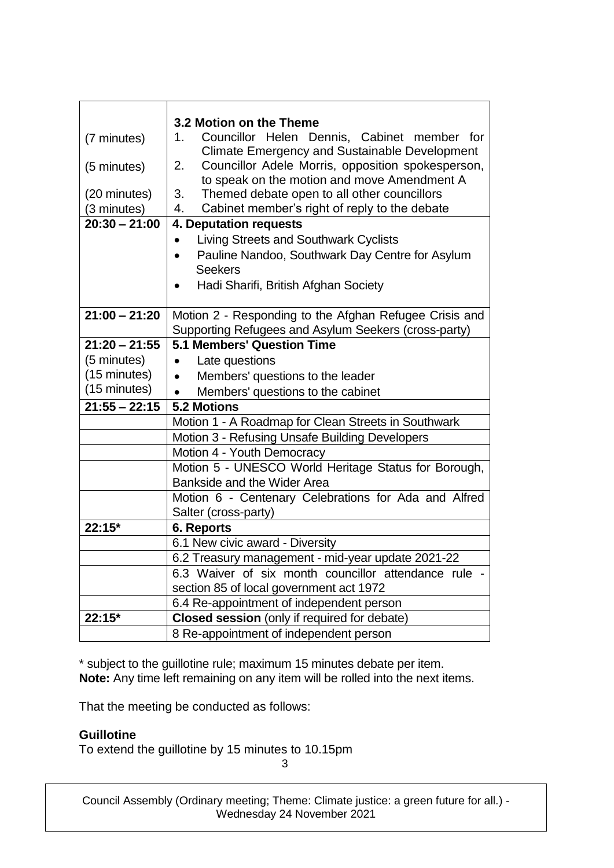|                 | 3.2 Motion on the Theme                                 |
|-----------------|---------------------------------------------------------|
| (7 minutes)     | Councillor Helen Dennis, Cabinet member for<br>1.       |
|                 | <b>Climate Emergency and Sustainable Development</b>    |
| (5 minutes)     | Councillor Adele Morris, opposition spokesperson,<br>2. |
|                 | to speak on the motion and move Amendment A             |
| (20 minutes)    | Themed debate open to all other councillors<br>3.       |
| (3 minutes)     | Cabinet member's right of reply to the debate<br>4.     |
| $20:30 - 21:00$ | 4. Deputation requests                                  |
|                 | Living Streets and Southwark Cyclists                   |
|                 | Pauline Nandoo, Southwark Day Centre for Asylum         |
|                 | <b>Seekers</b>                                          |
|                 | Hadi Sharifi, British Afghan Society                    |
|                 |                                                         |
| $21:00 - 21:20$ | Motion 2 - Responding to the Afghan Refugee Crisis and  |
|                 | Supporting Refugees and Asylum Seekers (cross-party)    |
| $21:20 - 21:55$ | <b>5.1 Members' Question Time</b>                       |
| (5 minutes)     | Late questions<br>$\bullet$                             |
| (15 minutes)    | Members' questions to the leader                        |
| (15 minutes)    | Members' questions to the cabinet                       |
| $21:55 - 22:15$ | <b>5.2 Motions</b>                                      |
|                 | Motion 1 - A Roadmap for Clean Streets in Southwark     |
|                 | Motion 3 - Refusing Unsafe Building Developers          |
|                 | Motion 4 - Youth Democracy                              |
|                 | Motion 5 - UNESCO World Heritage Status for Borough,    |
|                 | Bankside and the Wider Area                             |
|                 | Motion 6 - Centenary Celebrations for Ada and Alfred    |
|                 | Salter (cross-party)                                    |
| 22:15*          | <b>6. Reports</b>                                       |
|                 | 6.1 New civic award - Diversity                         |
|                 | 6.2 Treasury management - mid-year update 2021-22       |
|                 | 6.3 Waiver of six month councillor attendance rule -    |
|                 | section 85 of local government act 1972                 |
|                 | 6.4 Re-appointment of independent person                |
| 22:15*          | Closed session (only if required for debate)            |
|                 | 8 Re-appointment of independent person                  |

\* subject to the guillotine rule; maximum 15 minutes debate per item. **Note:** Any time left remaining on any item will be rolled into the next items.

That the meeting be conducted as follows:

## **Guillotine**

To extend the guillotine by 15 minutes to 10.15pm

3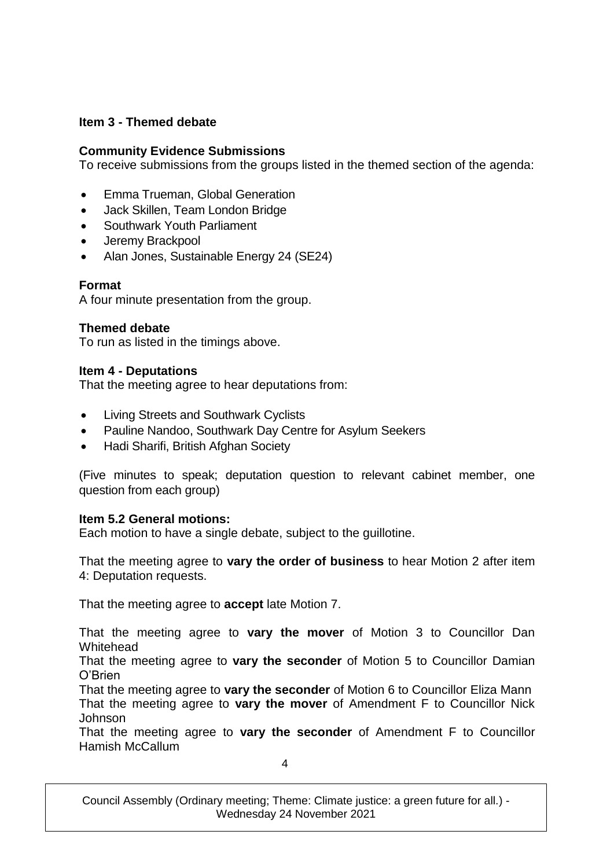## **Item 3 - Themed debate**

## **Community Evidence Submissions**

To receive submissions from the groups listed in the themed section of the agenda:

- Emma Trueman, Global Generation
- Jack Skillen, Team London Bridge
- Southwark Youth Parliament
- Jeremy Brackpool
- Alan Jones, Sustainable Energy 24 (SE24)

## **Format**

A four minute presentation from the group.

#### **Themed debate**

To run as listed in the timings above.

#### **Item 4 - Deputations**

That the meeting agree to hear deputations from:

- Living Streets and Southwark Cyclists
- Pauline Nandoo, Southwark Day Centre for Asylum Seekers
- Hadi Sharifi, British Afghan Society

(Five minutes to speak; deputation question to relevant cabinet member, one question from each group)

#### **Item 5.2 General motions:**

Each motion to have a single debate, subject to the guillotine.

That the meeting agree to **vary the order of business** to hear Motion 2 after item 4: Deputation requests.

That the meeting agree to **accept** late Motion 7.

That the meeting agree to **vary the mover** of Motion 3 to Councillor Dan Whitehead

That the meeting agree to **vary the seconder** of Motion 5 to Councillor Damian O'Brien

That the meeting agree to **vary the seconder** of Motion 6 to Councillor Eliza Mann That the meeting agree to **vary the mover** of Amendment F to Councillor Nick Johnson

That the meeting agree to **vary the seconder** of Amendment F to Councillor Hamish McCallum

4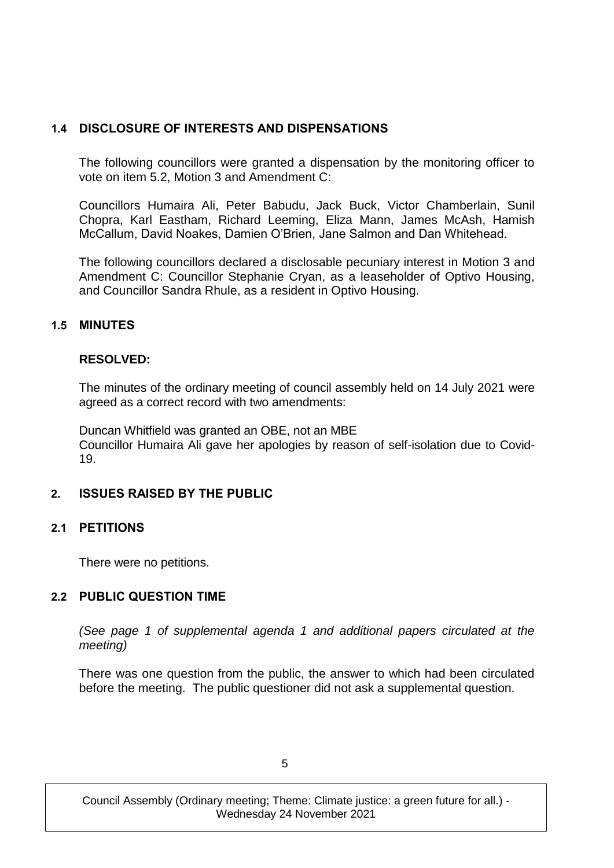## **1.4 DISCLOSURE OF INTERESTS AND DISPENSATIONS**

The following councillors were granted a dispensation by the monitoring officer to vote on item 5.2, Motion 3 and Amendment C:

Councillors Humaira Ali, Peter Babudu, Jack Buck, Victor Chamberlain, Sunil Chopra, Karl Eastham, Richard Leeming, Eliza Mann, James McAsh, Hamish McCallum, David Noakes, Damien O'Brien, Jane Salmon and Dan Whitehead.

The following councillors declared a disclosable pecuniary interest in Motion 3 and Amendment C: Councillor Stephanie Cryan, as a leaseholder of Optivo Housing, and Councillor Sandra Rhule, as a resident in Optivo Housing.

## **1.5 MINUTES**

#### **RESOLVED:**

The minutes of the ordinary meeting of council assembly held on 14 July 2021 were agreed as a correct record with two amendments:

Duncan Whitfield was granted an OBE, not an MBE Councillor Humaira Ali gave her apologies by reason of self-isolation due to Covid-19.

## **2. ISSUES RAISED BY THE PUBLIC**

#### **2.1 PETITIONS**

There were no petitions.

## **2.2 PUBLIC QUESTION TIME**

*(See page 1 of supplemental agenda 1 and additional papers circulated at the meeting)*

There was one question from the public, the answer to which had been circulated before the meeting. The public questioner did not ask a supplemental question.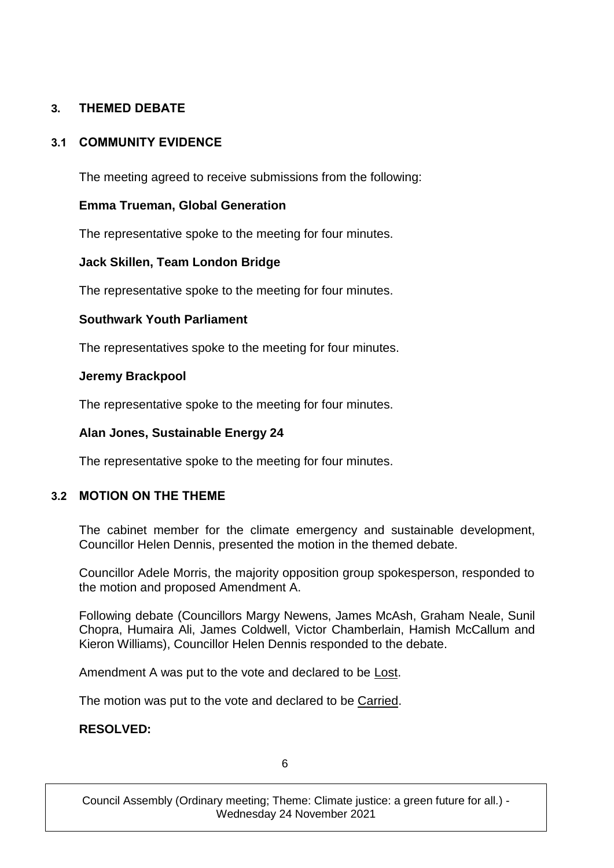# **3. THEMED DEBATE**

## **3.1 COMMUNITY EVIDENCE**

The meeting agreed to receive submissions from the following:

## **Emma Trueman, Global Generation**

The representative spoke to the meeting for four minutes.

## **Jack Skillen, Team London Bridge**

The representative spoke to the meeting for four minutes.

## **Southwark Youth Parliament**

The representatives spoke to the meeting for four minutes.

#### **Jeremy Brackpool**

The representative spoke to the meeting for four minutes.

## **Alan Jones, Sustainable Energy 24**

The representative spoke to the meeting for four minutes.

## **3.2 MOTION ON THE THEME**

The cabinet member for the climate emergency and sustainable development, Councillor Helen Dennis, presented the motion in the themed debate.

Councillor Adele Morris, the majority opposition group spokesperson, responded to the motion and proposed Amendment A.

Following debate (Councillors Margy Newens, James McAsh, Graham Neale, Sunil Chopra, Humaira Ali, James Coldwell, Victor Chamberlain, Hamish McCallum and Kieron Williams), Councillor Helen Dennis responded to the debate.

Amendment A was put to the vote and declared to be Lost.

The motion was put to the vote and declared to be Carried.

#### **RESOLVED:**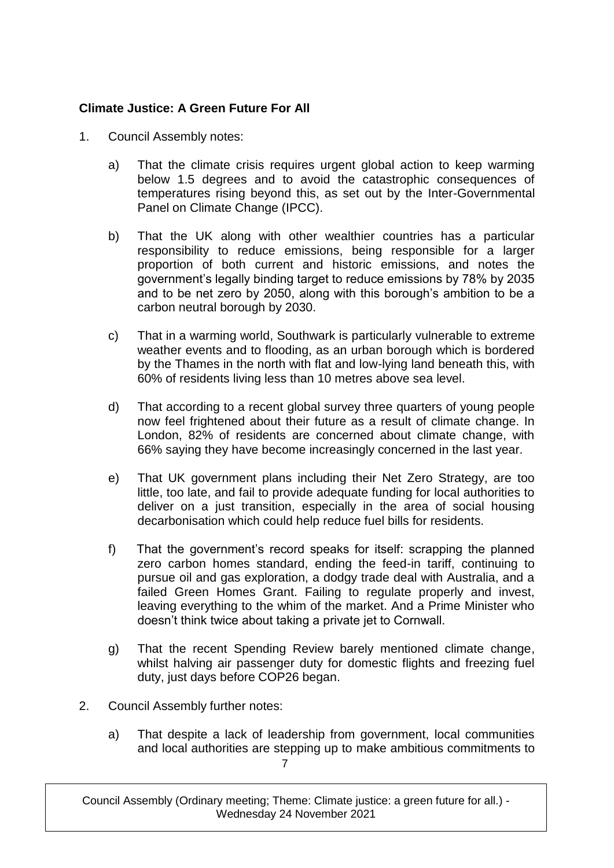# **Climate Justice: A Green Future For All**

- 1. Council Assembly notes:
	- a) That the climate crisis requires urgent global action to keep warming below 1.5 degrees and to avoid the catastrophic consequences of temperatures rising beyond this, as set out by the Inter-Governmental Panel on Climate Change (IPCC).
	- b) That the UK along with other wealthier countries has a particular responsibility to reduce emissions, being responsible for a larger proportion of both current and historic emissions, and notes the government's legally binding target to reduce emissions by 78% by 2035 and to be net zero by 2050, along with this borough's ambition to be a carbon neutral borough by 2030.
	- c) That in a warming world, Southwark is particularly vulnerable to extreme weather events and to flooding, as an urban borough which is bordered by the Thames in the north with flat and low-lying land beneath this, with 60% of residents living less than 10 metres above sea level.
	- d) That according to a recent global survey three quarters of young people now feel frightened about their future as a result of climate change. In London, 82% of residents are concerned about climate change, with 66% saying they have become increasingly concerned in the last year.
	- e) That UK government plans including their Net Zero Strategy, are too little, too late, and fail to provide adequate funding for local authorities to deliver on a just transition, especially in the area of social housing decarbonisation which could help reduce fuel bills for residents.
	- f) That the government's record speaks for itself: scrapping the planned zero carbon homes standard, ending the feed-in tariff, continuing to pursue oil and gas exploration, a dodgy trade deal with Australia, and a failed Green Homes Grant. Failing to regulate properly and invest, leaving everything to the whim of the market. And a Prime Minister who doesn't think twice about taking a private jet to Cornwall.
	- g) That the recent Spending Review barely mentioned climate change, whilst halving air passenger duty for domestic flights and freezing fuel duty, just days before COP26 began.
- 2. Council Assembly further notes:
	- 7 a) That despite a lack of leadership from government, local communities and local authorities are stepping up to make ambitious commitments to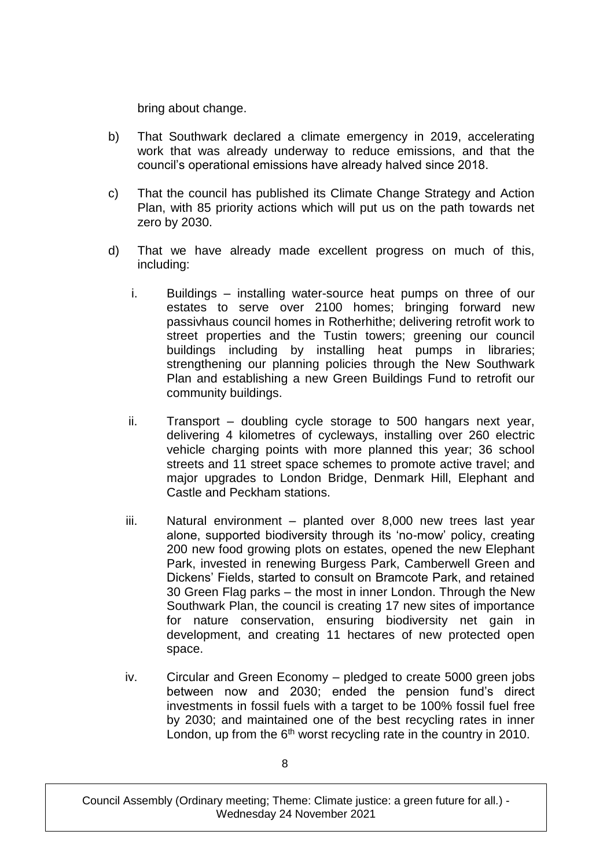bring about change.

- b) That Southwark declared a climate emergency in 2019, accelerating work that was already underway to reduce emissions, and that the council's operational emissions have already halved since 2018.
- c) That the council has published its Climate Change Strategy and Action Plan, with 85 priority actions which will put us on the path towards net zero by 2030.
- d) That we have already made excellent progress on much of this, including:
	- i. Buildings installing water-source heat pumps on three of our estates to serve over 2100 homes; bringing forward new passivhaus council homes in Rotherhithe; delivering retrofit work to street properties and the Tustin towers; greening our council buildings including by installing heat pumps in libraries; strengthening our planning policies through the New Southwark Plan and establishing a new Green Buildings Fund to retrofit our community buildings.
	- ii. Transport doubling cycle storage to 500 hangars next year, delivering 4 kilometres of cycleways, installing over 260 electric vehicle charging points with more planned this year; 36 school streets and 11 street space schemes to promote active travel; and major upgrades to London Bridge, Denmark Hill, Elephant and Castle and Peckham stations.
	- iii. Natural environment planted over 8,000 new trees last year alone, supported biodiversity through its 'no-mow' policy, creating 200 new food growing plots on estates, opened the new Elephant Park, invested in renewing Burgess Park, Camberwell Green and Dickens' Fields, started to consult on Bramcote Park, and retained 30 Green Flag parks – the most in inner London. Through the New Southwark Plan, the council is creating 17 new sites of importance for nature conservation, ensuring biodiversity net gain in development, and creating 11 hectares of new protected open space.
	- iv. Circular and Green Economy pledged to create 5000 green jobs between now and 2030; ended the pension fund's direct investments in fossil fuels with a target to be 100% fossil fuel free by 2030; and maintained one of the best recycling rates in inner London, up from the  $6<sup>th</sup>$  worst recycling rate in the country in 2010.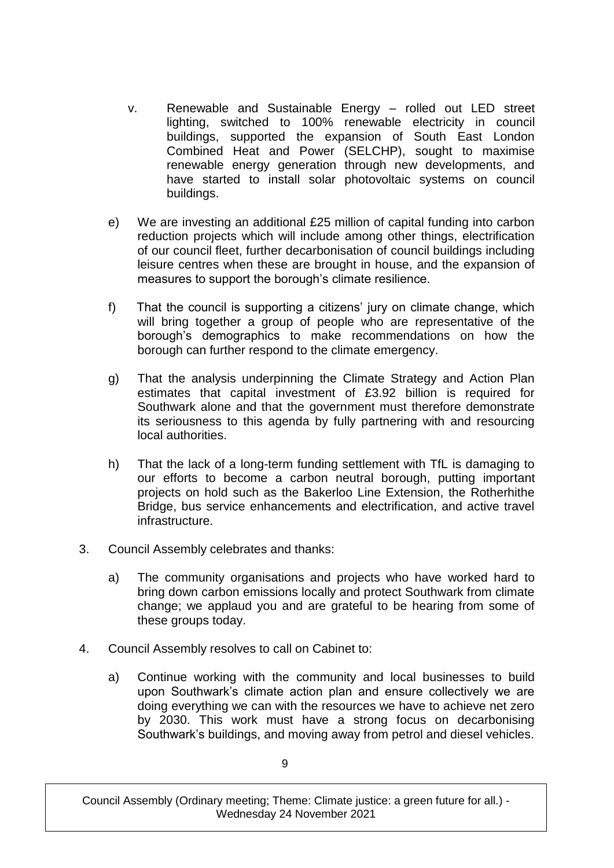- v. Renewable and Sustainable Energy rolled out LED street lighting, switched to 100% renewable electricity in council buildings, supported the expansion of South East London Combined Heat and Power (SELCHP), sought to maximise renewable energy generation through new developments, and have started to install solar photovoltaic systems on council buildings.
- e) We are investing an additional £25 million of capital funding into carbon reduction projects which will include among other things, electrification of our council fleet, further decarbonisation of council buildings including leisure centres when these are brought in house, and the expansion of measures to support the borough's climate resilience.
- f) That the council is supporting a citizens' jury on climate change, which will bring together a group of people who are representative of the borough's demographics to make recommendations on how the borough can further respond to the climate emergency.
- g) That the analysis underpinning the Climate Strategy and Action Plan estimates that capital investment of £3.92 billion is required for Southwark alone and that the government must therefore demonstrate its seriousness to this agenda by fully partnering with and resourcing local authorities.
- h) That the lack of a long-term funding settlement with TfL is damaging to our efforts to become a carbon neutral borough, putting important projects on hold such as the Bakerloo Line Extension, the Rotherhithe Bridge, bus service enhancements and electrification, and active travel infrastructure.
- 3. Council Assembly celebrates and thanks:
	- a) The community organisations and projects who have worked hard to bring down carbon emissions locally and protect Southwark from climate change; we applaud you and are grateful to be hearing from some of these groups today.
- 4. Council Assembly resolves to call on Cabinet to:
	- a) Continue working with the community and local businesses to build upon Southwark's climate action plan and ensure collectively we are doing everything we can with the resources we have to achieve net zero by 2030. This work must have a strong focus on decarbonising Southwark's buildings, and moving away from petrol and diesel vehicles.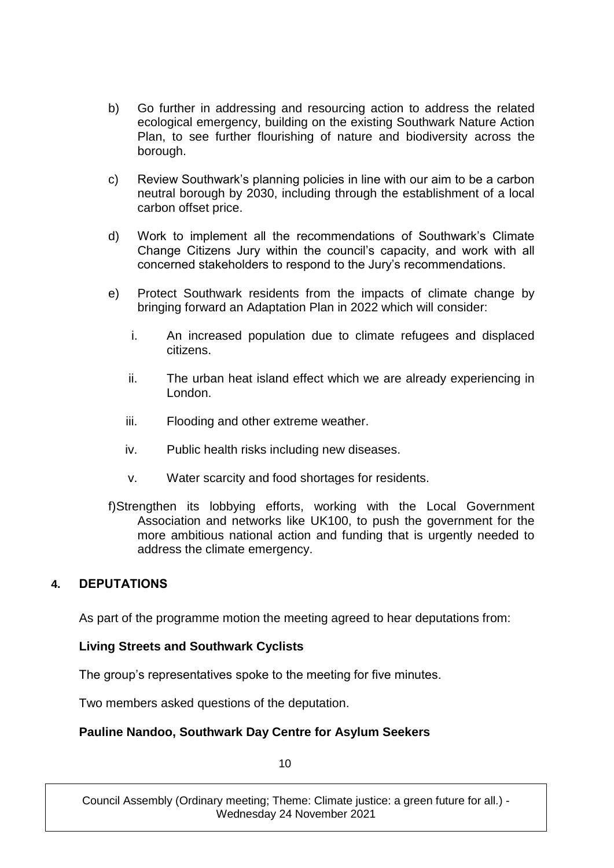- b) Go further in addressing and resourcing action to address the related ecological emergency, building on the existing Southwark Nature Action Plan, to see further flourishing of nature and biodiversity across the borough.
- c) Review Southwark's planning policies in line with our aim to be a carbon neutral borough by 2030, including through the establishment of a local carbon offset price.
- d) Work to implement all the recommendations of Southwark's Climate Change Citizens Jury within the council's capacity, and work with all concerned stakeholders to respond to the Jury's recommendations.
- e) Protect Southwark residents from the impacts of climate change by bringing forward an Adaptation Plan in 2022 which will consider:
	- i. An increased population due to climate refugees and displaced citizens.
	- ii. The urban heat island effect which we are already experiencing in London.
	- iii. Flooding and other extreme weather.
	- iv. Public health risks including new diseases.
	- v. Water scarcity and food shortages for residents.
- f)Strengthen its lobbying efforts, working with the Local Government Association and networks like UK100, to push the government for the more ambitious national action and funding that is urgently needed to address the climate emergency.

## **4. DEPUTATIONS**

As part of the programme motion the meeting agreed to hear deputations from:

## **Living Streets and Southwark Cyclists**

The group's representatives spoke to the meeting for five minutes.

Two members asked questions of the deputation.

## **Pauline Nandoo, Southwark Day Centre for Asylum Seekers**

10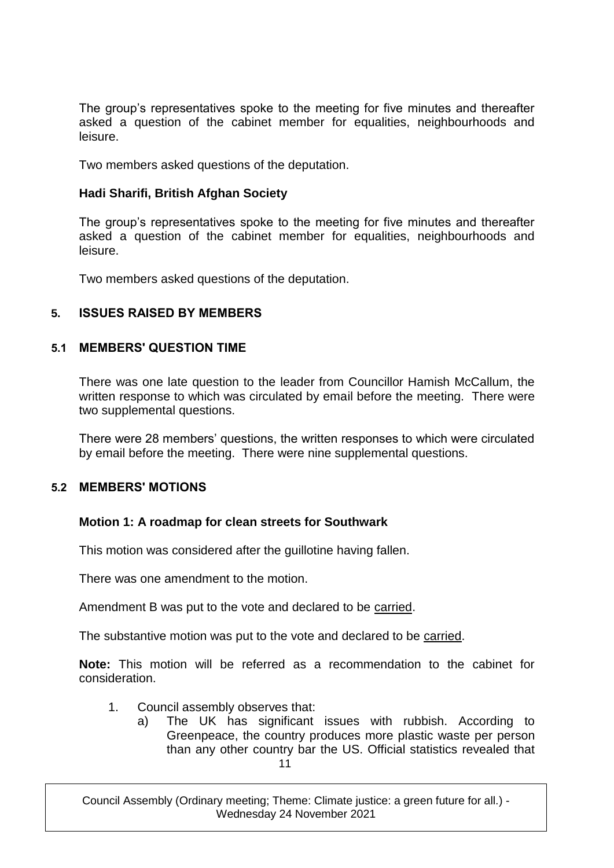The group's representatives spoke to the meeting for five minutes and thereafter asked a question of the cabinet member for equalities, neighbourhoods and leisure.

Two members asked questions of the deputation.

#### **Hadi Sharifi, British Afghan Society**

The group's representatives spoke to the meeting for five minutes and thereafter asked a question of the cabinet member for equalities, neighbourhoods and leisure.

Two members asked questions of the deputation.

#### **5. ISSUES RAISED BY MEMBERS**

#### **5.1 MEMBERS' QUESTION TIME**

There was one late question to the leader from Councillor Hamish McCallum, the written response to which was circulated by email before the meeting. There were two supplemental questions.

There were 28 members' questions, the written responses to which were circulated by email before the meeting. There were nine supplemental questions.

#### **5.2 MEMBERS' MOTIONS**

#### **Motion 1: A roadmap for clean streets for Southwark**

This motion was considered after the guillotine having fallen.

There was one amendment to the motion.

Amendment B was put to the vote and declared to be carried.

The substantive motion was put to the vote and declared to be carried.

**Note:** This motion will be referred as a recommendation to the cabinet for consideration.

- 1. Council assembly observes that:
	- 11 a) The UK has significant issues with rubbish. According to Greenpeace, the country produces more plastic waste per person than any other country bar the US. Official statistics revealed that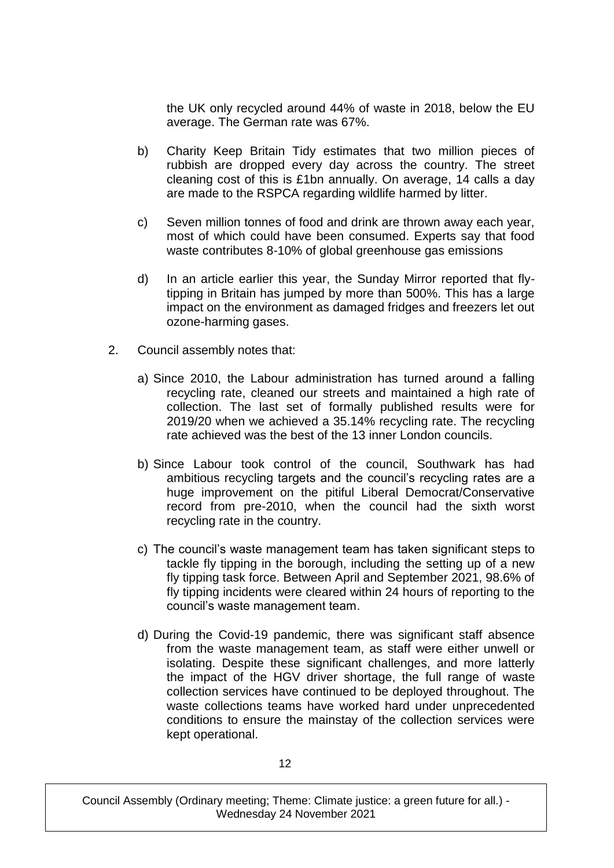the UK only recycled around 44% of waste in 2018, below the EU average. The German rate was 67%.

- b) Charity Keep Britain Tidy estimates that two million pieces of rubbish are dropped every day across the country. The street cleaning cost of this is £1bn annually. On average, 14 calls a day are made to the RSPCA regarding wildlife harmed by litter.
- c) Seven million tonnes of food and drink are thrown away each year, most of which could have been consumed. Experts say that food waste contributes 8-10% of global greenhouse gas emissions
- d) In an article earlier this year, the Sunday Mirror reported that flytipping in Britain has jumped by more than 500%. This has a large impact on the environment as damaged fridges and freezers let out ozone-harming gases.
- 2. Council assembly notes that:
	- a) Since 2010, the Labour administration has turned around a falling recycling rate, cleaned our streets and maintained a high rate of collection. The last set of formally published results were for 2019/20 when we achieved a 35.14% recycling rate. The recycling rate achieved was the best of the 13 inner London councils.
	- b) Since Labour took control of the council, Southwark has had ambitious recycling targets and the council's recycling rates are a huge improvement on the pitiful Liberal Democrat/Conservative record from pre-2010, when the council had the sixth worst recycling rate in the country.
	- c) The council's waste management team has taken significant steps to tackle fly tipping in the borough, including the setting up of a new fly tipping task force. Between April and September 2021, 98.6% of fly tipping incidents were cleared within 24 hours of reporting to the council's waste management team.
	- d) During the Covid-19 pandemic, there was significant staff absence from the waste management team, as staff were either unwell or isolating. Despite these significant challenges, and more latterly the impact of the HGV driver shortage, the full range of waste collection services have continued to be deployed throughout. The waste collections teams have worked hard under unprecedented conditions to ensure the mainstay of the collection services were kept operational.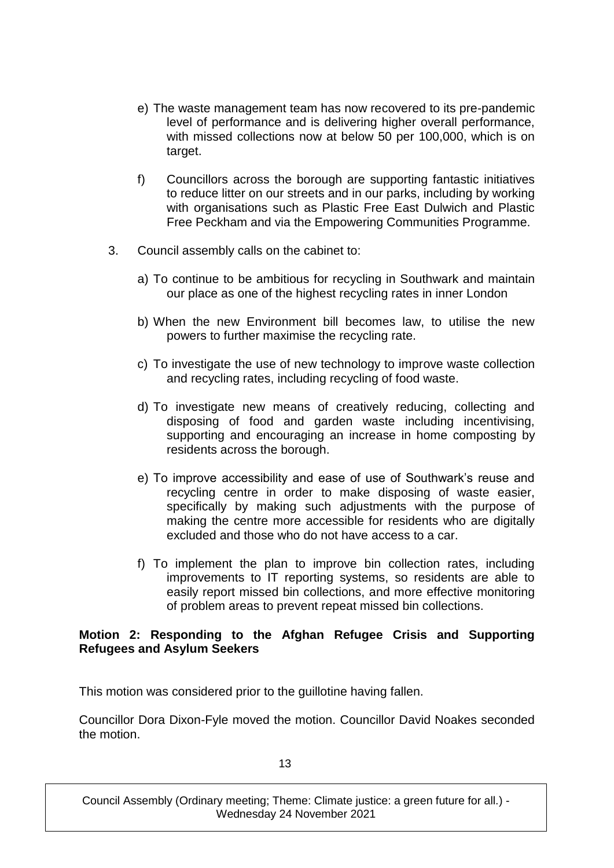- e) The waste management team has now recovered to its pre-pandemic level of performance and is delivering higher overall performance, with missed collections now at below 50 per 100,000, which is on target.
- f) Councillors across the borough are supporting fantastic initiatives to reduce litter on our streets and in our parks, including by working with organisations such as Plastic Free East Dulwich and Plastic Free Peckham and via the Empowering Communities Programme.
- 3. Council assembly calls on the cabinet to:
	- a) To continue to be ambitious for recycling in Southwark and maintain our place as one of the highest recycling rates in inner London
	- b) When the new Environment bill becomes law, to utilise the new powers to further maximise the recycling rate.
	- c) To investigate the use of new technology to improve waste collection and recycling rates, including recycling of food waste.
	- d) To investigate new means of creatively reducing, collecting and disposing of food and garden waste including incentivising, supporting and encouraging an increase in home composting by residents across the borough.
	- e) To improve accessibility and ease of use of Southwark's reuse and recycling centre in order to make disposing of waste easier, specifically by making such adjustments with the purpose of making the centre more accessible for residents who are digitally excluded and those who do not have access to a car.
	- f) To implement the plan to improve bin collection rates, including improvements to IT reporting systems, so residents are able to easily report missed bin collections, and more effective monitoring of problem areas to prevent repeat missed bin collections.

#### **Motion 2: Responding to the Afghan Refugee Crisis and Supporting Refugees and Asylum Seekers**

This motion was considered prior to the guillotine having fallen.

Councillor Dora Dixon-Fyle moved the motion. Councillor David Noakes seconded the motion.

13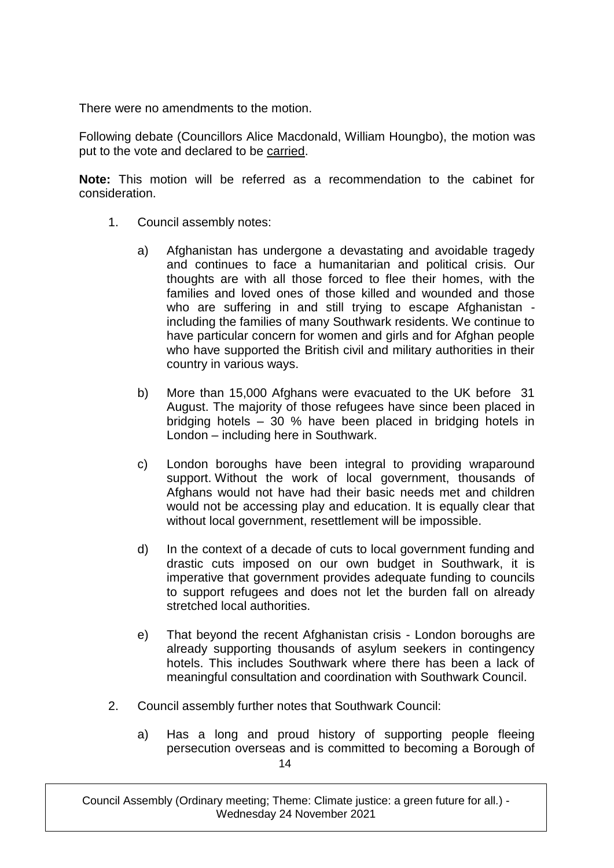There were no amendments to the motion.

Following debate (Councillors Alice Macdonald, William Houngbo), the motion was put to the vote and declared to be carried.

**Note:** This motion will be referred as a recommendation to the cabinet for consideration.

- 1. Council assembly notes:
	- a) Afghanistan has undergone a devastating and avoidable tragedy and continues to face a humanitarian and political crisis. Our thoughts are with all those forced to flee their homes, with the families and loved ones of those killed and wounded and those who are suffering in and still trying to escape Afghanistan including the families of many Southwark residents. We continue to have particular concern for women and girls and for Afghan people who have supported the British civil and military authorities in their country in various ways.
	- b) More than 15,000 Afghans were evacuated to the UK before 31 August. The majority of those refugees have since been placed in bridging hotels – 30 % have been placed in bridging hotels in London – including here in Southwark.
	- c) London boroughs have been integral to providing wraparound support. Without the work of local government, thousands of Afghans would not have had their basic needs met and children would not be accessing play and education. It is equally clear that without local government, resettlement will be impossible.
	- d) In the context of a decade of cuts to local government funding and drastic cuts imposed on our own budget in Southwark, it is imperative that government provides adequate funding to councils to support refugees and does not let the burden fall on already stretched local authorities.
	- e) That beyond the recent Afghanistan crisis London boroughs are already supporting thousands of asylum seekers in contingency hotels. This includes Southwark where there has been a lack of meaningful consultation and coordination with Southwark Council.
- 2. Council assembly further notes that Southwark Council:
	- 14 a) Has a long and proud history of supporting people fleeing persecution overseas and is committed to becoming a Borough of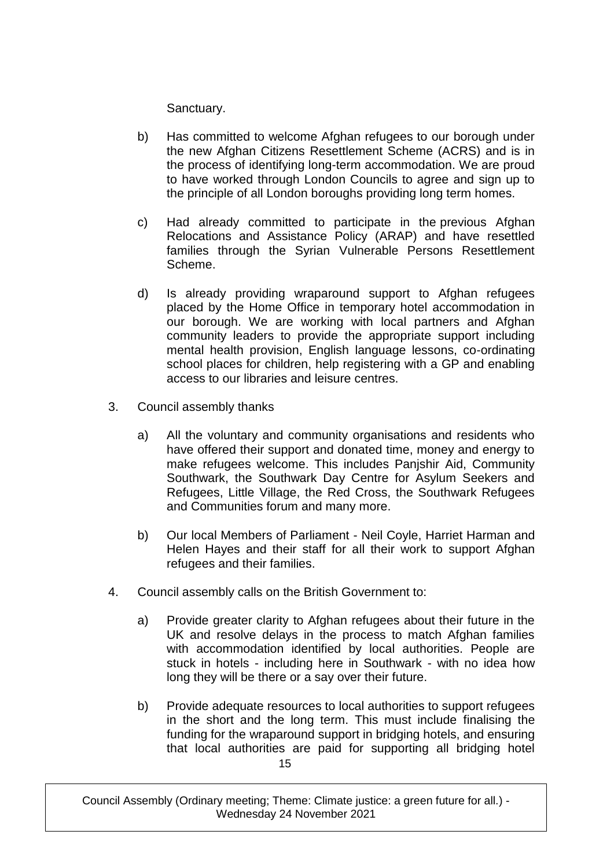Sanctuary.

- b) Has committed to welcome Afghan refugees to our borough under the new Afghan Citizens Resettlement Scheme (ACRS) and is in the process of identifying long-term accommodation. We are proud to have worked through London Councils to agree and sign up to the principle of all London boroughs providing long term homes.
- c) Had already committed to participate in the previous Afghan Relocations and Assistance Policy (ARAP) and have resettled families through the Syrian Vulnerable Persons Resettlement Scheme.
- d) Is already providing wraparound support to Afghan refugees placed by the Home Office in temporary hotel accommodation in our borough. We are working with local partners and Afghan community leaders to provide the appropriate support including mental health provision, English language lessons, co-ordinating school places for children, help registering with a GP and enabling access to our libraries and leisure centres.
- 3. Council assembly thanks
	- a) All the voluntary and community organisations and residents who have offered their support and donated time, money and energy to make refugees welcome. This includes Panjshir Aid, Community Southwark, the Southwark Day Centre for Asylum Seekers and Refugees, Little Village, the Red Cross, the Southwark Refugees and Communities forum and many more.
	- b) Our local Members of Parliament Neil Coyle, Harriet Harman and Helen Hayes and their staff for all their work to support Afghan refugees and their families.
- 4. Council assembly calls on the British Government to:
	- a) Provide greater clarity to Afghan refugees about their future in the UK and resolve delays in the process to match Afghan families with accommodation identified by local authorities. People are stuck in hotels - including here in Southwark - with no idea how long they will be there or a say over their future.
	- 15 b) Provide adequate resources to local authorities to support refugees in the short and the long term. This must include finalising the funding for the wraparound support in bridging hotels, and ensuring that local authorities are paid for supporting all bridging hotel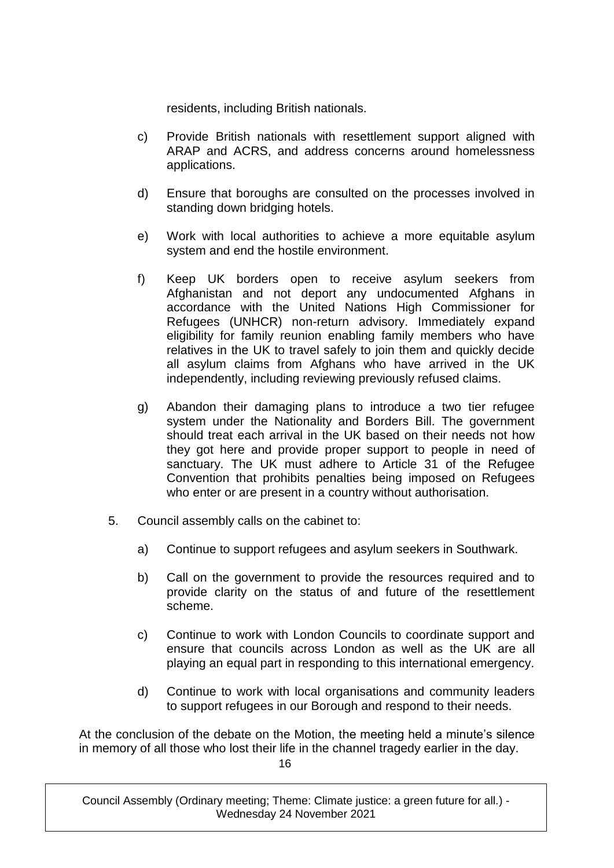residents, including British nationals.

- c) Provide British nationals with resettlement support aligned with ARAP and ACRS, and address concerns around homelessness applications.
- d) Ensure that boroughs are consulted on the processes involved in standing down bridging hotels.
- e) Work with local authorities to achieve a more equitable asylum system and end the hostile environment.
- f) Keep UK borders open to receive asylum seekers from Afghanistan and not deport any undocumented Afghans in accordance with the United Nations High Commissioner for Refugees (UNHCR) non-return advisory. Immediately expand eligibility for family reunion enabling family members who have relatives in the UK to travel safely to join them and quickly decide all asylum claims from Afghans who have arrived in the UK independently, including reviewing previously refused claims.
- g) Abandon their damaging plans to introduce a two tier refugee system under the Nationality and Borders Bill. The government should treat each arrival in the UK based on their needs not how they got here and provide proper support to people in need of sanctuary. The UK must adhere to Article 31 of the Refugee Convention that prohibits penalties being imposed on Refugees who enter or are present in a country without authorisation.
- 5. Council assembly calls on the cabinet to:
	- a) Continue to support refugees and asylum seekers in Southwark.
	- b) Call on the government to provide the resources required and to provide clarity on the status of and future of the resettlement scheme.
	- c) Continue to work with London Councils to coordinate support and ensure that councils across London as well as the UK are all playing an equal part in responding to this international emergency.
	- d) Continue to work with local organisations and community leaders to support refugees in our Borough and respond to their needs.

16 At the conclusion of the debate on the Motion, the meeting held a minute's silence in memory of all those who lost their life in the channel tragedy earlier in the day.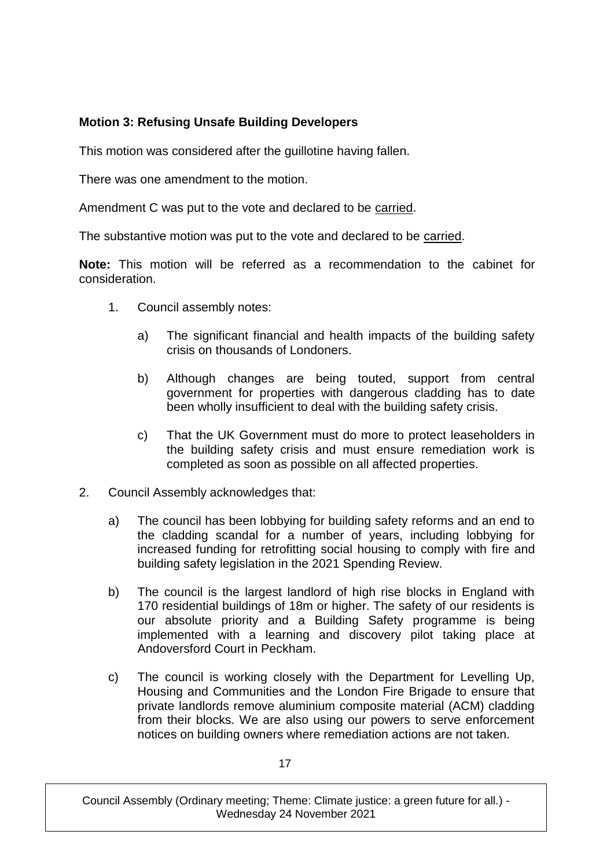# **Motion 3: Refusing Unsafe Building Developers**

This motion was considered after the guillotine having fallen.

There was one amendment to the motion.

Amendment C was put to the vote and declared to be carried.

The substantive motion was put to the vote and declared to be carried.

**Note:** This motion will be referred as a recommendation to the cabinet for consideration.

- 1. Council assembly notes:
	- a) The significant financial and health impacts of the building safety crisis on thousands of Londoners.
	- b) Although changes are being touted, support from central government for properties with dangerous cladding has to date been wholly insufficient to deal with the building safety crisis.
	- c) That the UK Government must do more to protect leaseholders in the building safety crisis and must ensure remediation work is completed as soon as possible on all affected properties.
- 2. Council Assembly acknowledges that:
	- a) The council has been lobbying for building safety reforms and an end to the cladding scandal for a number of years, including lobbying for increased funding for retrofitting social housing to comply with fire and building safety legislation in the 2021 Spending Review.
	- b) The council is the largest landlord of high rise blocks in England with 170 residential buildings of 18m or higher. The safety of our residents is our absolute priority and a Building Safety programme is being implemented with a learning and discovery pilot taking place at Andoversford Court in Peckham.
	- c) The council is working closely with the Department for Levelling Up, Housing and Communities and the London Fire Brigade to ensure that private landlords remove aluminium composite material (ACM) cladding from their blocks. We are also using our powers to serve enforcement notices on building owners where remediation actions are not taken.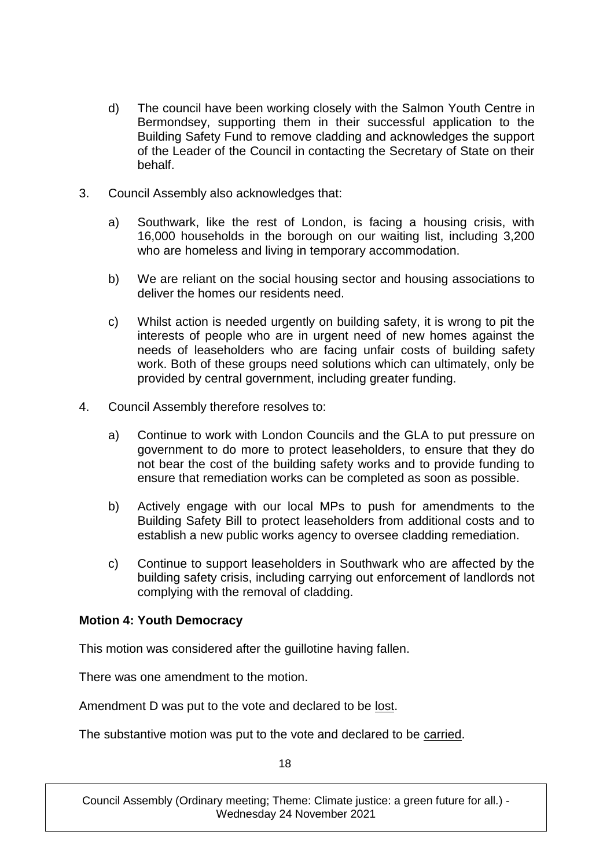- d) The council have been working closely with the Salmon Youth Centre in Bermondsey, supporting them in their successful application to the Building Safety Fund to remove cladding and acknowledges the support of the Leader of the Council in contacting the Secretary of State on their behalf.
- 3. Council Assembly also acknowledges that:
	- a) Southwark, like the rest of London, is facing a housing crisis, with 16,000 households in the borough on our waiting list, including 3,200 who are homeless and living in temporary accommodation.
	- b) We are reliant on the social housing sector and housing associations to deliver the homes our residents need.
	- c) Whilst action is needed urgently on building safety, it is wrong to pit the interests of people who are in urgent need of new homes against the needs of leaseholders who are facing unfair costs of building safety work. Both of these groups need solutions which can ultimately, only be provided by central government, including greater funding.
- 4. Council Assembly therefore resolves to:
	- a) Continue to work with London Councils and the GLA to put pressure on government to do more to protect leaseholders, to ensure that they do not bear the cost of the building safety works and to provide funding to ensure that remediation works can be completed as soon as possible.
	- b) Actively engage with our local MPs to push for amendments to the Building Safety Bill to protect leaseholders from additional costs and to establish a new public works agency to oversee cladding remediation.
	- c) Continue to support leaseholders in Southwark who are affected by the building safety crisis, including carrying out enforcement of landlords not complying with the removal of cladding.

#### **Motion 4: Youth Democracy**

This motion was considered after the guillotine having fallen.

There was one amendment to the motion.

Amendment D was put to the vote and declared to be lost.

The substantive motion was put to the vote and declared to be carried.

18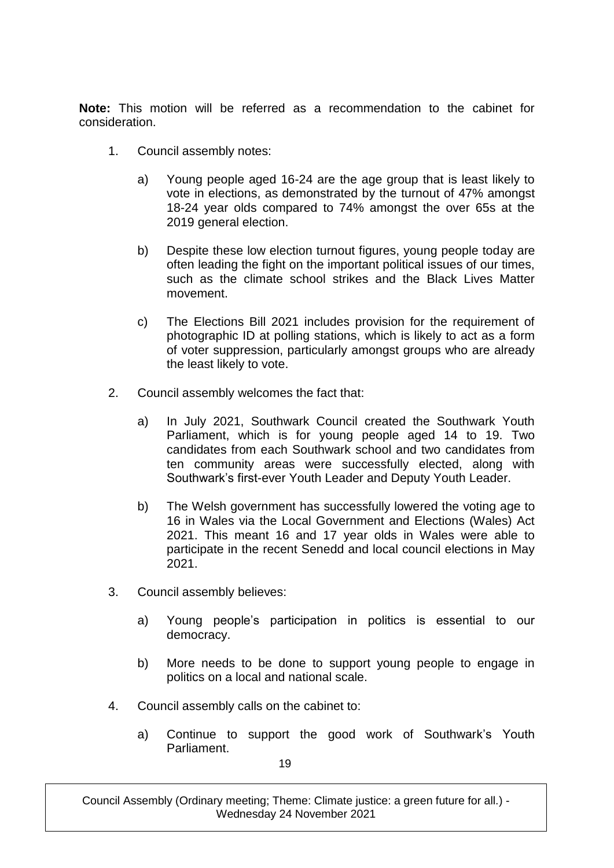**Note:** This motion will be referred as a recommendation to the cabinet for consideration.

- 1. Council assembly notes:
	- a) Young people aged 16-24 are the age group that is least likely to vote in elections, as demonstrated by the turnout of 47% amongst 18-24 year olds compared to 74% amongst the over 65s at the 2019 general election.
	- b) Despite these low election turnout figures, young people today are often leading the fight on the important political issues of our times, such as the climate school strikes and the Black Lives Matter movement.
	- c) The Elections Bill 2021 includes provision for the requirement of photographic ID at polling stations, which is likely to act as a form of voter suppression, particularly amongst groups who are already the least likely to vote.
- 2. Council assembly welcomes the fact that:
	- a) In July 2021, Southwark Council created the Southwark Youth Parliament, which is for young people aged 14 to 19. Two candidates from each Southwark school and two candidates from ten community areas were successfully elected, along with Southwark's first-ever Youth Leader and Deputy Youth Leader.
	- b) The Welsh government has successfully lowered the voting age to 16 in Wales via the Local Government and Elections (Wales) Act 2021. This meant 16 and 17 year olds in Wales were able to participate in the recent Senedd and local council elections in May 2021.
- 3. Council assembly believes:
	- a) Young people's participation in politics is essential to our democracy.
	- b) More needs to be done to support young people to engage in politics on a local and national scale.
- 4. Council assembly calls on the cabinet to:
	- a) Continue to support the good work of Southwark's Youth Parliament.

19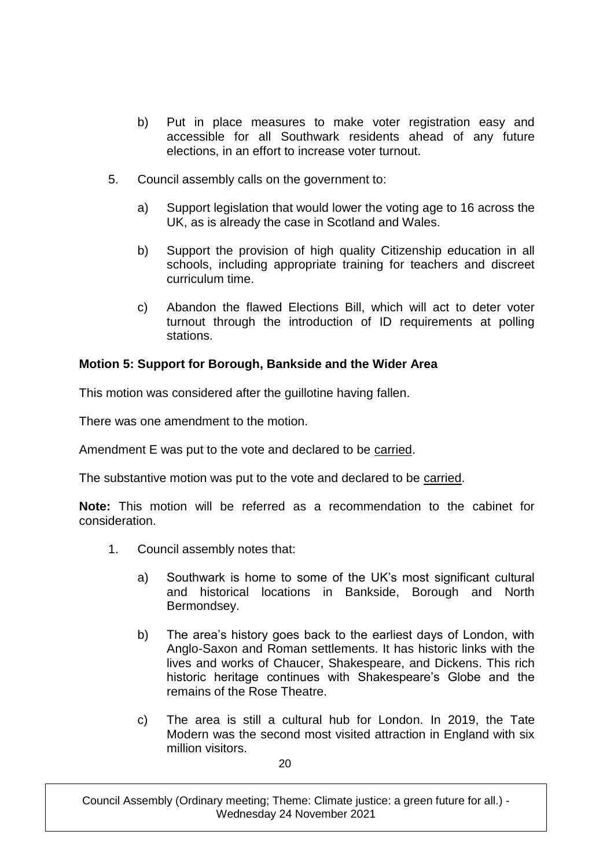- b) Put in place measures to make voter registration easy and accessible for all Southwark residents ahead of any future elections, in an effort to increase voter turnout.
- 5. Council assembly calls on the government to:
	- a) Support legislation that would lower the voting age to 16 across the UK, as is already the case in Scotland and Wales.
	- b) Support the provision of high quality Citizenship education in all schools, including appropriate training for teachers and discreet curriculum time.
	- c) Abandon the flawed Elections Bill, which will act to deter voter turnout through the introduction of ID requirements at polling stations.

#### **Motion 5: Support for Borough, Bankside and the Wider Area**

This motion was considered after the guillotine having fallen.

There was one amendment to the motion.

Amendment E was put to the vote and declared to be carried.

The substantive motion was put to the vote and declared to be carried.

**Note:** This motion will be referred as a recommendation to the cabinet for consideration.

- 1. Council assembly notes that:
	- a) Southwark is home to some of the UK's most significant cultural and historical locations in Bankside, Borough and North Bermondsey.
	- b) The area's history goes back to the earliest days of London, with Anglo-Saxon and Roman settlements. It has historic links with the lives and works of Chaucer, Shakespeare, and Dickens. This rich historic heritage continues with Shakespeare's Globe and the remains of the Rose Theatre.
	- c) The area is still a cultural hub for London. In 2019, the Tate Modern was the second most visited attraction in England with six million visitors.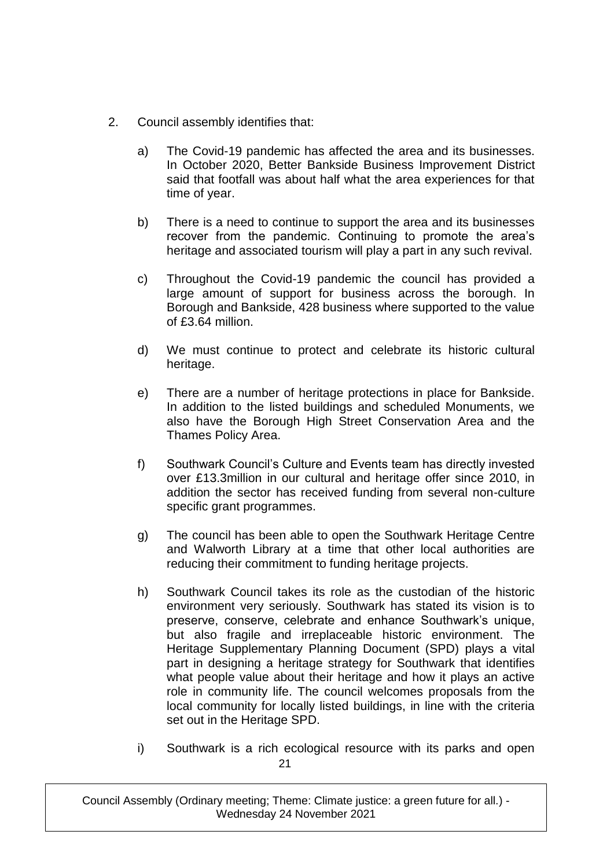- 2. Council assembly identifies that:
	- a) The Covid-19 pandemic has affected the area and its businesses. In October 2020, Better Bankside Business Improvement District said that footfall was about half what the area experiences for that time of year.
	- b) There is a need to continue to support the area and its businesses recover from the pandemic. Continuing to promote the area's heritage and associated tourism will play a part in any such revival.
	- c) Throughout the Covid-19 pandemic the council has provided a large amount of support for business across the borough. In Borough and Bankside, 428 business where supported to the value of £3.64 million.
	- d) We must continue to protect and celebrate its historic cultural heritage.
	- e) There are a number of heritage protections in place for Bankside. In addition to the listed buildings and scheduled Monuments, we also have the Borough High Street Conservation Area and the Thames Policy Area.
	- f) Southwark Council's Culture and Events team has directly invested over £13.3million in our cultural and heritage offer since 2010, in addition the sector has received funding from several non-culture specific grant programmes.
	- g) The council has been able to open the Southwark Heritage Centre and Walworth Library at a time that other local authorities are reducing their commitment to funding heritage projects.
	- h) Southwark Council takes its role as the custodian of the historic environment very seriously. Southwark has stated its vision is to preserve, conserve, celebrate and enhance Southwark's unique, but also fragile and irreplaceable historic environment. The Heritage Supplementary Planning Document (SPD) plays a vital part in designing a heritage strategy for Southwark that identifies what people value about their heritage and how it plays an active role in community life. The council welcomes proposals from the local community for locally listed buildings, in line with the criteria set out in the Heritage SPD.
	- 21 i) Southwark is a rich ecological resource with its parks and open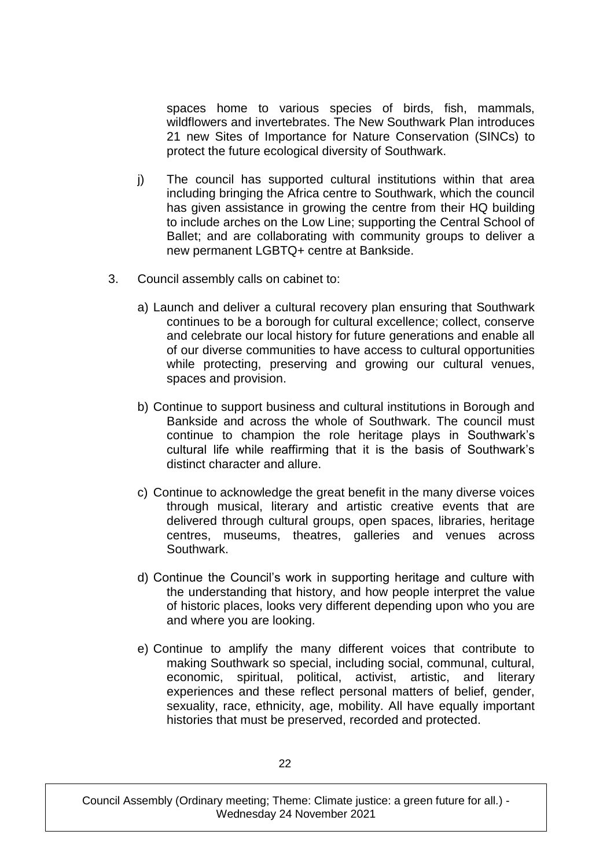spaces home to various species of birds, fish, mammals, wildflowers and invertebrates. The New Southwark Plan introduces 21 new Sites of Importance for Nature Conservation (SINCs) to protect the future ecological diversity of Southwark.

- j) The council has supported cultural institutions within that area including bringing the Africa centre to Southwark, which the council has given assistance in growing the centre from their HQ building to include arches on the Low Line; supporting the Central School of Ballet; and are collaborating with community groups to deliver a new permanent LGBTQ+ centre at Bankside.
- 3. Council assembly calls on cabinet to:
	- a) Launch and deliver a cultural recovery plan ensuring that Southwark continues to be a borough for cultural excellence; collect, conserve and celebrate our local history for future generations and enable all of our diverse communities to have access to cultural opportunities while protecting, preserving and growing our cultural venues, spaces and provision.
	- b) Continue to support business and cultural institutions in Borough and Bankside and across the whole of Southwark. The council must continue to champion the role heritage plays in Southwark's cultural life while reaffirming that it is the basis of Southwark's distinct character and allure.
	- c) Continue to acknowledge the great benefit in the many diverse voices through musical, literary and artistic creative events that are delivered through cultural groups, open spaces, libraries, heritage centres, museums, theatres, galleries and venues across Southwark.
	- d) Continue the Council's work in supporting heritage and culture with the understanding that history, and how people interpret the value of historic places, looks very different depending upon who you are and where you are looking.
	- e) Continue to amplify the many different voices that contribute to making Southwark so special, including social, communal, cultural, economic, spiritual, political, activist, artistic, and literary experiences and these reflect personal matters of belief, gender, sexuality, race, ethnicity, age, mobility. All have equally important histories that must be preserved, recorded and protected.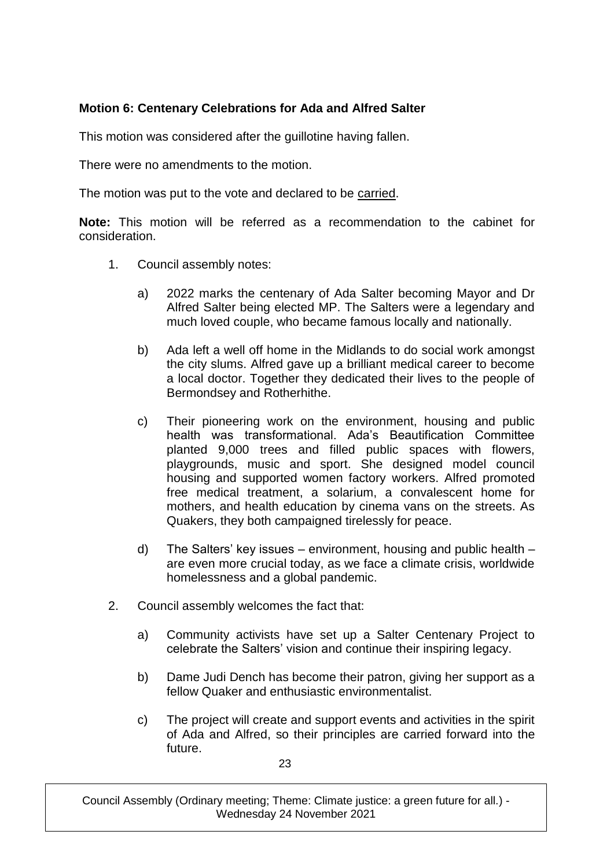# **Motion 6: Centenary Celebrations for Ada and Alfred Salter**

This motion was considered after the guillotine having fallen.

There were no amendments to the motion.

The motion was put to the vote and declared to be carried.

**Note:** This motion will be referred as a recommendation to the cabinet for consideration.

- 1. Council assembly notes:
	- a) 2022 marks the centenary of Ada Salter becoming Mayor and Dr Alfred Salter being elected MP. The Salters were a legendary and much loved couple, who became famous locally and nationally.
	- b) Ada left a well off home in the Midlands to do social work amongst the city slums. Alfred gave up a brilliant medical career to become a local doctor. Together they dedicated their lives to the people of Bermondsey and Rotherhithe.
	- c) Their pioneering work on the environment, housing and public health was transformational. Ada's Beautification Committee planted 9,000 trees and filled public spaces with flowers, playgrounds, music and sport. She designed model council housing and supported women factory workers. Alfred promoted free medical treatment, a solarium, a convalescent home for mothers, and health education by cinema vans on the streets. As Quakers, they both campaigned tirelessly for peace.
	- d) The Salters' key issues environment, housing and public health are even more crucial today, as we face a climate crisis, worldwide homelessness and a global pandemic.
- 2. Council assembly welcomes the fact that:
	- a) Community activists have set up a Salter Centenary Project to celebrate the Salters' vision and continue their inspiring legacy.
	- b) Dame Judi Dench has become their patron, giving her support as a fellow Quaker and enthusiastic environmentalist.
	- c) The project will create and support events and activities in the spirit of Ada and Alfred, so their principles are carried forward into the future.

23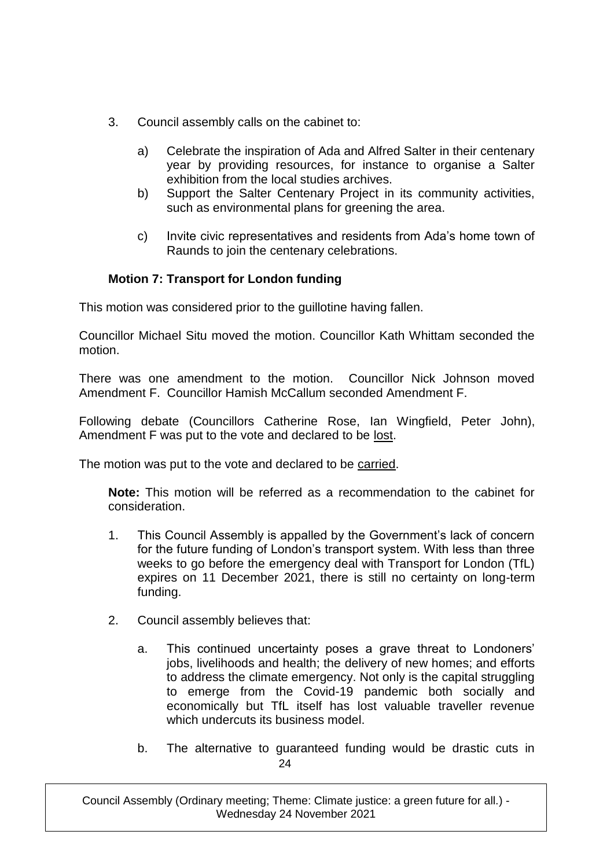- 3. Council assembly calls on the cabinet to:
	- a) Celebrate the inspiration of Ada and Alfred Salter in their centenary year by providing resources, for instance to organise a Salter exhibition from the local studies archives.
	- b) Support the Salter Centenary Project in its community activities, such as environmental plans for greening the area.
	- c) Invite civic representatives and residents from Ada's home town of Raunds to join the centenary celebrations.

# **Motion 7: Transport for London funding**

This motion was considered prior to the guillotine having fallen.

Councillor Michael Situ moved the motion. Councillor Kath Whittam seconded the motion.

There was one amendment to the motion. Councillor Nick Johnson moved Amendment F. Councillor Hamish McCallum seconded Amendment F.

Following debate (Councillors Catherine Rose, Ian Wingfield, Peter John), Amendment F was put to the vote and declared to be lost.

The motion was put to the vote and declared to be carried.

**Note:** This motion will be referred as a recommendation to the cabinet for consideration.

- 1. This Council Assembly is appalled by the Government's lack of concern for the future funding of London's transport system. With less than three weeks to go before the emergency deal with Transport for London (TfL) expires on 11 December 2021, there is still no certainty on long-term funding.
- 2. Council assembly believes that:
	- a. This continued uncertainty poses a grave threat to Londoners' jobs, livelihoods and health; the delivery of new homes; and efforts to address the climate emergency. Not only is the capital struggling to emerge from the Covid-19 pandemic both socially and economically but TfL itself has lost valuable traveller revenue which undercuts its business model.
	- 24 b. The alternative to guaranteed funding would be drastic cuts in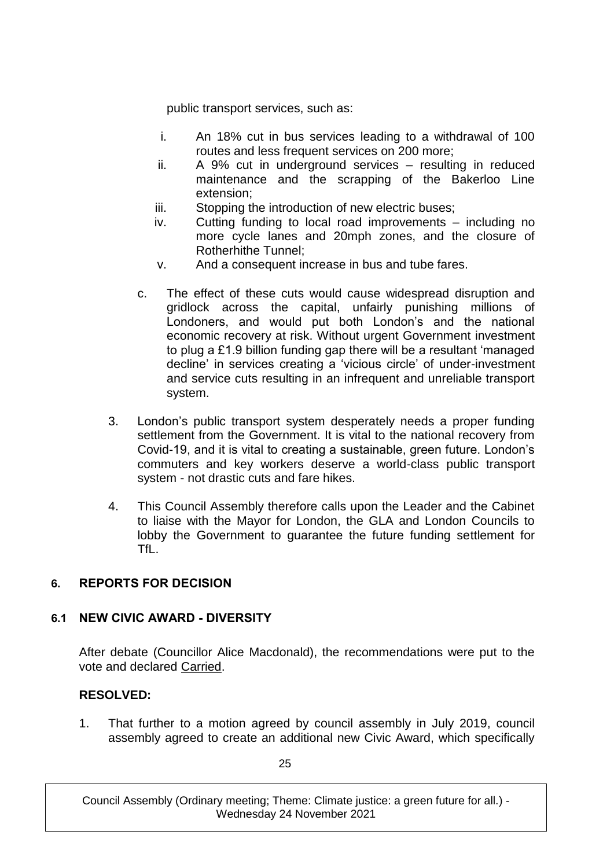public transport services, such as:

- i. An 18% cut in bus services leading to a withdrawal of 100 routes and less frequent services on 200 more;
- ii. A 9% cut in underground services resulting in reduced maintenance and the scrapping of the Bakerloo Line extension;
- iii. Stopping the introduction of new electric buses;
- iv. Cutting funding to local road improvements including no more cycle lanes and 20mph zones, and the closure of Rotherhithe Tunnel;
- v. And a consequent increase in bus and tube fares.
- c. The effect of these cuts would cause widespread disruption and gridlock across the capital, unfairly punishing millions of Londoners, and would put both London's and the national economic recovery at risk. Without urgent Government investment to plug a £1.9 billion funding gap there will be a resultant 'managed decline' in services creating a 'vicious circle' of under-investment and service cuts resulting in an infrequent and unreliable transport system.
- 3. London's public transport system desperately needs a proper funding settlement from the Government. It is vital to the national recovery from Covid-19, and it is vital to creating a sustainable, green future. London's commuters and key workers deserve a world-class public transport system - not drastic cuts and fare hikes.
- 4. This Council Assembly therefore calls upon the Leader and the Cabinet to liaise with the Mayor for London, the GLA and London Councils to lobby the Government to guarantee the future funding settlement for TfL.

## **6. REPORTS FOR DECISION**

## **6.1 NEW CIVIC AWARD - DIVERSITY**

After debate (Councillor Alice Macdonald), the recommendations were put to the vote and declared Carried.

## **RESOLVED:**

1. That further to a motion agreed by council assembly in July 2019, council assembly agreed to create an additional new Civic Award, which specifically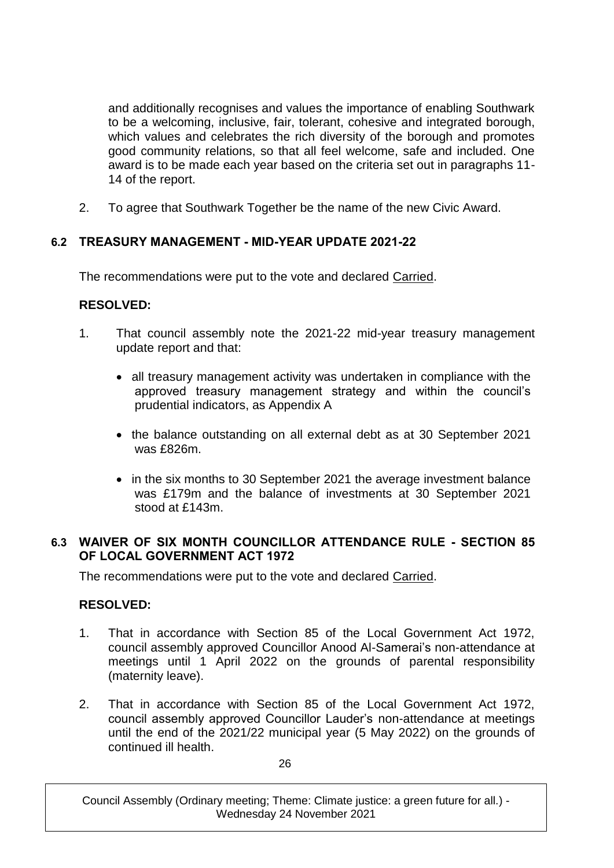and additionally recognises and values the importance of enabling Southwark to be a welcoming, inclusive, fair, tolerant, cohesive and integrated borough, which values and celebrates the rich diversity of the borough and promotes good community relations, so that all feel welcome, safe and included. One award is to be made each year based on the criteria set out in paragraphs 11- 14 of the report.

2. To agree that Southwark Together be the name of the new Civic Award.

# **6.2 TREASURY MANAGEMENT - MID-YEAR UPDATE 2021-22**

The recommendations were put to the vote and declared Carried.

# **RESOLVED:**

- 1. That council assembly note the 2021-22 mid-year treasury management update report and that:
	- all treasury management activity was undertaken in compliance with the approved treasury management strategy and within the council's prudential indicators, as Appendix A
	- the balance outstanding on all external debt as at 30 September 2021 was £826m
	- in the six months to 30 September 2021 the average investment balance was £179m and the balance of investments at 30 September 2021 stood at £143m.

## **6.3 WAIVER OF SIX MONTH COUNCILLOR ATTENDANCE RULE - SECTION 85 OF LOCAL GOVERNMENT ACT 1972**

The recommendations were put to the vote and declared Carried.

## **RESOLVED:**

- 1. That in accordance with Section 85 of the Local Government Act 1972, council assembly approved Councillor Anood Al-Samerai's non-attendance at meetings until 1 April 2022 on the grounds of parental responsibility (maternity leave).
- 2. That in accordance with Section 85 of the Local Government Act 1972, council assembly approved Councillor Lauder's non-attendance at meetings until the end of the 2021/22 municipal year (5 May 2022) on the grounds of continued ill health.